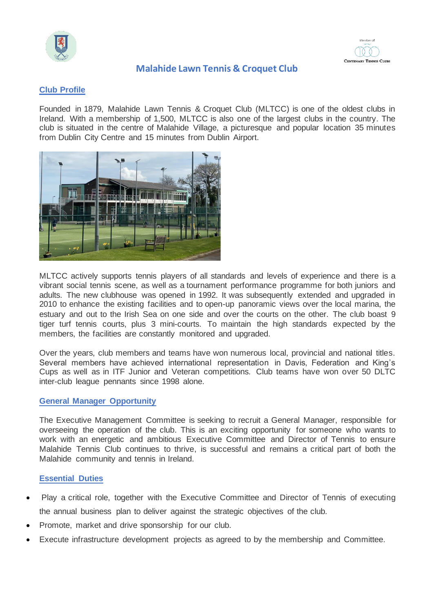



## **Malahide Lawn Tennis & Croquet Club**

## **Club Profile**

Founded in 1879, Malahide Lawn Tennis & Croquet Club (MLTCC) is one of the oldest clubs in Ireland. With a membership of 1,500, MLTCC is also one of the largest clubs in the country. The club is situated in the centre of Malahide Village, a picturesque and popular location 35 minutes from Dublin City Centre and 15 minutes from Dublin Airport.



MLTCC actively supports tennis players of all standards and levels of experience and there is a vibrant social tennis scene, as well as a tournament performance programme for both juniors and adults. The new clubhouse was opened in 1992. It was subsequently extended and upgraded in 2010 to enhance the existing facilities and to open-up panoramic views over the local marina, the estuary and out to the Irish Sea on one side and over the courts on the other. The club boast 9 tiger turf tennis courts, plus 3 mini-courts. To maintain the high standards expected by the members, the facilities are constantly monitored and upgraded.

Over the years, club members and teams have won numerous local, provincial and national titles. Several members have achieved international representation in Davis, Federation and King's Cups as well as in ITF Junior and Veteran competitions. Club teams have won over 50 DLTC inter-club league pennants since 1998 alone.

### **General Manager Opportunity**

The Executive Management Committee is seeking to recruit a General Manager, responsible for overseeing the operation of the club. This is an exciting opportunity for someone who wants to work with an energetic and ambitious Executive Committee and Director of Tennis to ensure Malahide Tennis Club continues to thrive, is successful and remains a critical part of both the Malahide community and tennis in Ireland.

### **Essential Duties**

- Play a critical role, together with the Executive Committee and Director of Tennis of executing the annual business plan to deliver against the strategic objectives of the club.
- Promote, market and drive sponsorship for our club.
- Execute infrastructure development projects as agreed to by the membership and Committee.